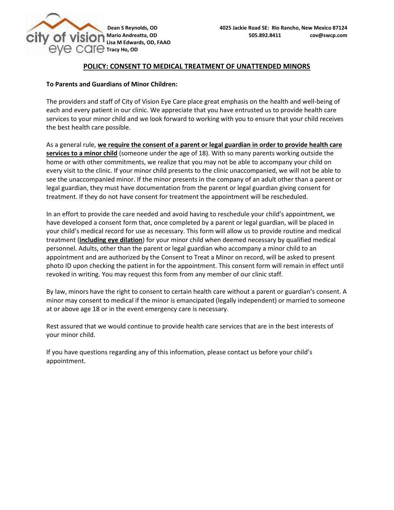

## **POLICY: CONSENT TO MEDICAL TREATMENT OF UNATTENDED MINORS**

## **To Parents and Guardians of Minor Children:**

The providers and staff of City of Vision Eye Care place great emphasis on the health and well-being of each and every patient in our clinic. We appreciate that you have entrusted us to provide health care services to your minor child and we look forward to working with you to ensure that your child receives the best health care possible.

As a general rule, **we require the consent of a parent or legal guardian in order to provide health care services to a minor child** (someone under the age of 18). With so many parents working outside the home or with other commitments, we realize that you may not be able to accompany your child on every visit to the clinic. If your minor child presents to the clinic unaccompanied, we will not be able to see the unaccompanied minor. If the minor presents in the company of an adult other than a parent or legal guardian, they must have documentation from the parent or legal guardian giving consent for treatment. If they do not have consent for treatment the appointment will be rescheduled.

In an effort to provide the care needed and avoid having to reschedule your child's appointment, we have developed a consent form that, once completed by a parent or legal guardian, will be placed in your child's medical record for use as necessary. This form will allow us to provide routine and medical treatment (**including eye dilation**) for your minor child when deemed necessary by qualified medical personnel. Adults, other than the parent or legal guardian who accompany a minor child to an appointment and are authorized by the Consent to Treat a Minor on record, will be asked to present photo ID upon checking the patient in for the appointment. This consent form will remain in effect until revoked in writing. You may request this form from any member of our clinic staff.

By law, minors have the right to consent to certain health care without a parent or guardian's consent. A minor may consent to medical if the minor is emancipated (legally independent) or married to someone at or above age 18 or in the event emergency care is necessary.

Rest assured that we would continue to provide health care services that are in the best interests of your minor child.

If you have questions regarding any of this information, please contact us before your child's appointment.